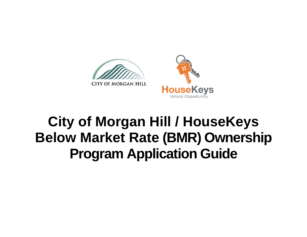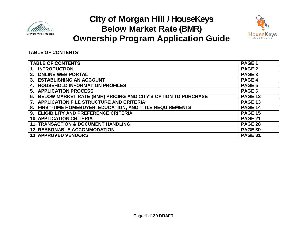



### **TABLE OF CONTENTS**

| <b>TABLE OF CONTENTS</b>                                            | PAGE <sub>1</sub> |
|---------------------------------------------------------------------|-------------------|
| 1. INTRODUCTION                                                     | <b>PAGE 2</b>     |
| 2. ONLINE WEB PORTAL                                                | PAGE <sub>3</sub> |
| 3. ESTABLISHING AN ACCOUNT                                          | PAGE 4            |
| <b>HOUSEHOLD INFORMATION PROFILES</b><br>4.                         | PAGE 5            |
| 5. APPLICATION PROCESS                                              | PAGE 6            |
| BELOW MARKET RATE (BMR) PRICING AND CITY'S OPTION TO PURCHASE<br>6. | <b>PAGE 12</b>    |
| APPLICATION FILE STRUCTURE AND CRITERIA                             | <b>PAGE 13</b>    |
| 8. FIRST-TIME HOMEBUYER, EDUCATION, AND TITLE REQUIREMENTS          | <b>PAGE 14</b>    |
| 9. ELIGIBILITY AND PREFERENCE CRITERIA                              | <b>PAGE 15</b>    |
| <b>10. APPLICATION CRITERIA</b>                                     | <b>PAGE 21</b>    |
| <b>11. TRANSACTION &amp; DOCUMENT HANDLING</b>                      | <b>PAGE 28</b>    |
| <b>12. REASONABLE ACCOMMODATION</b>                                 | <b>PAGE 30</b>    |
| <b>13. APPROVED VENDORS</b>                                         | <b>PAGE 31</b>    |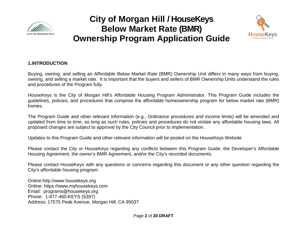



### **1.INTRODUCTION**

Buying, owning, and selling an Affordable Below Market Rate (BMR) Ownership Unit differs in many ways from buying, owning, and selling a market rate. It is important that the buyers and sellers of BMR Ownership Units understand the rules and procedures of the Program fully.

HouseKeys is the City of Morgan Hill's Affordable Housing Program Administrator. This Program Guide includes the guidelines, policies, and procedures that comprise the affordable homeownership program for below market rate (BMR) homes.

The Program Guide and other relevant information (e.g., Ordinance procedures and income limits) will be amended and updated from time to time, so long as such rules, policies and procedures do not violate any affordable housing laws. All proposed changes are subject to approval by the City Council prior to implementation.

Updates to this Program Guide and other relevant information will be posted on the HouseKeys Website

Please contact the City or HouseKeys regarding any conflicts between this Program Guide, the Developer's Affordable Housing Agreement, the owner's BMR Agreement, and/or the City's recorded documents.

Please contact HouseKeys with any questions or concerns regarding this document or any other question regarding the City's affordable housing program:

Online:http://www.housekeys.org Online: https://www.myhousekeys.com Email: programs@housekeys.org Phone: 1-877-460-KEYS (5397) Address: 17575 Peak Avenue, Morgan Hill, CA 95037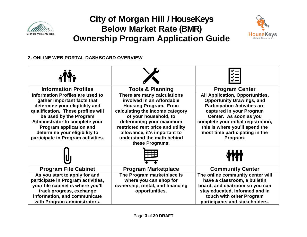



### **2. ONLINE WEB PORTAL DASHBOARD OVERVIEW**

| <b>Information Profiles</b>                                                                                                                                                                                                                                                                                                                                                                                                                                                                                                                                                                                                   | <b>Tools &amp; Planning</b>                                                                                | <b>Program Center</b>                                                                                                                                                                                                                                                                          |
|-------------------------------------------------------------------------------------------------------------------------------------------------------------------------------------------------------------------------------------------------------------------------------------------------------------------------------------------------------------------------------------------------------------------------------------------------------------------------------------------------------------------------------------------------------------------------------------------------------------------------------|------------------------------------------------------------------------------------------------------------|------------------------------------------------------------------------------------------------------------------------------------------------------------------------------------------------------------------------------------------------------------------------------------------------|
| <b>Information Profiles are used to</b><br>There are many calculations<br>involved in an Affordable<br>gather important facts that<br>determine your eligibility and<br><b>Housing Program. From</b><br>qualification. These profiles will<br>calculating the income category<br>be used by the Program<br>of your household, to<br>determining your maximum<br>Administrator to complete your<br><b>Program application and</b><br>restricted rent price and utility<br>determine your eligibility to<br>allowance, it's important to<br>participate in Program activities.<br>understand the math behind<br>these Programs. |                                                                                                            | <b>All Application, Opportunities,</b><br><b>Opportunity Drawings, and</b><br><b>Participation Activities are</b><br>captured in your Program<br>Center. As soon as you<br>complete your initial registration,<br>this is where you'll spend the<br>most time participating in the<br>Program. |
|                                                                                                                                                                                                                                                                                                                                                                                                                                                                                                                                                                                                                               |                                                                                                            |                                                                                                                                                                                                                                                                                                |
| <b>Program File Cabinet</b>                                                                                                                                                                                                                                                                                                                                                                                                                                                                                                                                                                                                   | <b>Program Marketplace</b>                                                                                 | <b>Community Center</b>                                                                                                                                                                                                                                                                        |
| As you start to apply for and<br>participate in Program activities,<br>your file cabinet is where you'll<br>track progress, exchange<br>information, and communicate<br>with Program administrators.                                                                                                                                                                                                                                                                                                                                                                                                                          | The Program marketplace is<br>where you can shop for<br>ownership, rental, and financing<br>opportunities. | The online community center will<br>have a classroom, a bulletin<br>board, and chatroom so you can<br>stay educated, informed and in<br>touch with other Program<br>participants and stakeholders.                                                                                             |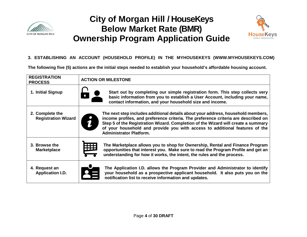



### **3. ESTABLISHING AN ACCOUNT (HOUSEHOLD PROFILE) IN THE MYHOUSEKEYS (WWW.MYHOUSEKEYS.COM)**

**The following five (5) actions are the initial steps needed to establish your household's affordable housing account.** 

| <b>REGISTRATION</b><br><b>PROCESS</b>         | <b>ACTION OR MILESTONE</b>                                                                                                                                                                                                                                                                                                                                                   |  |
|-----------------------------------------------|------------------------------------------------------------------------------------------------------------------------------------------------------------------------------------------------------------------------------------------------------------------------------------------------------------------------------------------------------------------------------|--|
| 1. Initial Signup                             | Start out by completing our simple registration form. This step collects very<br>basic information from you to establish a User Account, including your name,<br>contact information, and your household size and income.                                                                                                                                                    |  |
| 2. Complete the<br><b>Registration Wizard</b> | The next step includes additional details about your address, household members,<br>income profiles, and preference criteria. The preference criteria are described on<br>Step 5 of the Registration Wizard. Completion of the Wizard will create a summary<br>of your household and provide you with access to additional features of the<br><b>Administrator Platform.</b> |  |
| 3. Browse the<br><b>Marketplace</b>           | The Marketplace allows you to shop for Ownership, Rental and Finance Program<br>opportunities that interest you. Make sure to read the Program Profile and get an<br>understanding for how it works, the intent, the rules and the process.                                                                                                                                  |  |
| 4. Request an<br><b>Application I.D.</b>      | The Application I.D. allows the Program Provider and Administrator to identify<br>your household as a prospective applicant household. It also puts you on the<br>notification list to receive information and updates.                                                                                                                                                      |  |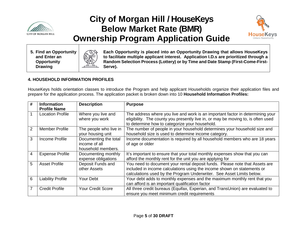



**5. Find an Opportunity and Enter an Opportunity Drawing**



**Each Opportunity is placed into an Opportunity Drawing that allows HouseKeys to facilitate multiple applicant interest. Application I.D.s are prioritized through a Random Selection Process (Lottery) or by Time and Date Stamp (First-Come-First-Serve).**

### **4. HOUSEHOLD INFORMATION PROFILES**

HouseKeys holds orientation classes to introduce the Program and help applicant Households organize their application files and prepare for the application process. The application packet is broken down into 10 **Household Information Profiles:**

| #            | <b>Information</b><br><b>Profile Name</b> | <b>Description</b>                                           | <b>Purpose</b>                                                                                                                                                                                                                  |
|--------------|-------------------------------------------|--------------------------------------------------------------|---------------------------------------------------------------------------------------------------------------------------------------------------------------------------------------------------------------------------------|
| $\mathbf{1}$ | <b>Location Profile</b>                   | Where you live and<br>where you work                         | The address where you live and work is an important factor in determining your<br>eligibility. The county you presently live in, or may be moving to, is often used<br>to determine how to categorize your household.           |
| 2            | Member Profile                            | The people who live in<br>your housing unit                  | The number of people in your household determines your household size and<br>household size is used to determine income category.                                                                                               |
| 3            | Income Profile                            | Documenting the total<br>income of all<br>household members. | Income documentation is required by all household members who are 18 years<br>of age or older                                                                                                                                   |
| 4            | <b>Expense Profile</b>                    | Documenting monthly<br>expense obligations                   | It's important to ensure that your total monthly expenses show that you can<br>afford the monthly rent for the unit you are applying for                                                                                        |
| 5            | <b>Asset Profile</b>                      | Deposit Funds and<br>other Assets                            | You need to document your rental deposit funds. Please note that Assets are<br>included in income calculations using the income shown on statements or<br>calculations used by the Program Underwriter. See Asset Limits below. |
| 6            | <b>Liability Profile</b>                  | Your Debt                                                    | Your debt adds to monthly expenses and the maximum monthly rent that you<br>can afford is an important qualification factor                                                                                                     |
| 7            | <b>Credit Profile</b>                     | <b>Your Credit Score</b>                                     | All three credit bureaus (Equifax, Experian, and TransUnion) are evaluated to<br>ensure you meet minimum credit requirements                                                                                                    |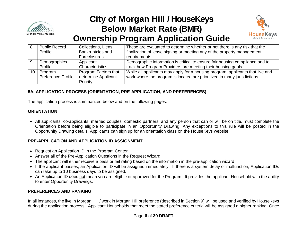



|      | <b>Public Record</b> | Collections, Liens,  | These are evaluated to determine whether or not there is any risk that the     |
|------|----------------------|----------------------|--------------------------------------------------------------------------------|
|      | Profile              | Bankruptcies and     | finalization of lease signing or meeting any of the property management        |
|      |                      | Foreclosures         | requirements.                                                                  |
|      | Demographics         | Applicant            | Demographic information is critical to ensure fair housing compliance and to   |
|      | Profile              | Characteristics      | track how Program Providers are meeting their housing goals.                   |
| 10 l | Program              | Program Factors that | While all applicants may apply for a housing program, applicants that live and |
|      | Preference Profile   | determine Applicant  | work where the program is located are prioritized in many jurisdictions.       |
|      |                      | Priority             |                                                                                |

### **5A. APPLICATION PROCESS (ORIENTATION, PRE-APPLICATION, AND PREFERENCES)**

The application process is summarized below and on the following pages:

#### **ORIENTATION**

• All applicants, co-applicants, married couples, domestic partners, and any person that can or will be on title, must complete the Orientation before being eligible to participate in an Opportunity Drawing. Any exceptions to this rule will be posted in the Opportunity Drawing details. Applicants can sign up for an orientation class on the HouseKeys website.

#### **PRE-APPLICATION AND APPLICATION ID ASSIGNMENT**

- Request an Application ID in the Program Center
- Answer all of the Pre-Application Questions in the Request Wizard
- The applicant will either receive a pass or fail rating based on the information in the pre-application wizard
- If the applicant passes, an Application ID will be assigned immediately. If there is a system delay or malfunction, Application IDs can take up to 10 business days to be assigned.
- An Application ID does not mean you are eligible or approved for the Program. It provides the applicant Household with the ability to enter Opportunity Drawings.

### **PREFERENCES AND RANKING**

In all instances, the live in Morgan Hill / work in Morgan Hill preference (described in Section 9) will be used and verified by HouseKeys during the application process. Applicant Households that meet the stated preference criteria will be assigned a higher ranking. Once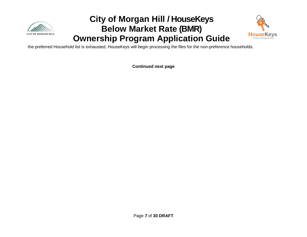



the preferred Household list is exhausted, HouseKeys will begin processing the files for the non-preference households.

**Continued next page**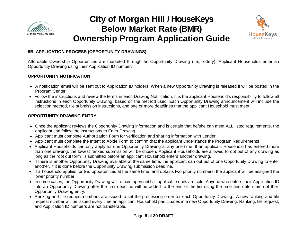



#### **5B. APPLICATION PROCESS (OPPORTUNITY DRAWINGS)**

Affordable Ownership Opportunities are marketed through an Opportunity Drawing (i.e., lottery). Applicant Households enter an Opportunity Drawing using their Application ID number.

### **OPPORTUNITY NOTIFICATION**

- A notification email will be sent out to Application ID holders. When a new Opportunity Drawing is released it will be posted in the Program Center
- Follow the instructions and review the terms in each Drawing Notification. It is the applicant Household's responsibility to follow all instructions in each Opportunity Drawing, based on the method used. Each Opportunity Drawing announcement will include the selection method, file submission instructions, and one or more deadlines that the applicant Household must meet.

### **OPPORTUNITY DRAWING ENTRY**

- Once the applicant reviews the Opportunity Drawing information and is certain that he/she can meet ALL listed requirements, the applicant can follow the instructions to Enter Drawing
- Applicant must complete Authorization Form for verification and sharing information with Lender
- Applicant must complete the Intent to Abide Form to confirm that the applicant understands the Program Requirements
- Applicant Households can only apply for one Opportunity Drawing at any one time. If an applicant Household has entered more than one drawing, the lowest ranked submission will be chosen. Applicant Households are allowed to opt out of any drawing as long as the "opt out form" is submitted before an applicant Household enters another drawing.
- If there is another Opportunity Drawing available at the same time, the applicant can opt out of one Opportunity Drawing to enter another, if it is done before the Opportunity Drawing submission deadline.
- If a household applies for two opportunities at the same time, and obtains two priority numbers, the applicant will be assigned the lower priority number.
- In some cases, the Opportunity Drawing will remain open until all applicable units are sold. Anyone who enters their Application ID into an Opportunity Drawing after the first deadline will be added to the end of the list using the time and date stamp of their Opportunity Drawing entry.
- Ranking and file request numbers are issued to set the processing order for each Opportunity Drawing. A new ranking and file request number will be issued every time an applicant Household participates in a new Opportunity Drawing. Ranking, file request, and Application ID numbers are not transferable.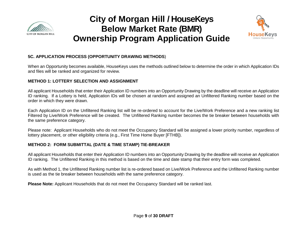



### **5C. APPLICATION PROCESS (OPPORTUNITY DRAWING METHODS**)

When an Opportunity becomes available, HouseKeys uses the methods outlined below to determine the order in which Application IDs and files will be ranked and organized for review.

#### **METHOD 1: LOTTERY SELECTION AND ASSIGNMENT**

All applicant Households that enter their Application ID numbers into an Opportunity Drawing by the deadline will receive an Application ID ranking. If a Lottery is held, Application IDs will be chosen at random and assigned an Unfiltered Ranking number based on the order in which they were drawn.

Each Application ID on the Unfiltered Ranking list will be re-ordered to account for the Live/Work Preference and a new ranking list Filtered by Live/Work Preference will be created. The Unfiltered Ranking number becomes the tie breaker between households with the same preference category.

Please note: Applicant Households who do not meet the Occupancy Standard will be assigned a lower priority number, regardless of lottery placement, or other eligibility criteria (e.g., First Time Home Buyer [FTHB]).

#### **METHOD 2: FORM SUBMITTAL (DATE & TIME STAMP) TIE-BREAKER**

All applicant Households that enter their Application ID numbers into an Opportunity Drawing by the deadline will receive an Application ID ranking. The Unfiltered Ranking in this method is based on the time and date stamp that their entry form was completed.

As with Method 1, the Unfiltered Ranking number list is re-ordered based on Live/Work Preference and the Unfiltered Ranking number is used as the tie breaker between households with the same preference category.

**Please Note:** Applicant Households that do not meet the Occupancy Standard will be ranked last.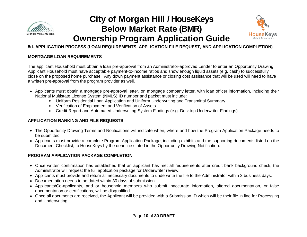



### **5d. APPLICATION PROCESS (LOAN REQUIREMENTS, APPLICATION FILE REQUEST, AND APPLICATION COMPLETION)**

#### **MORTGAGE LOAN REQUIREMENTS**

The applicant Household must obtain a loan pre-approval from an Administrator-approved Lender to enter an Opportunity Drawing. Applicant Household must have acceptable payment-to-income ratios and show enough liquid assets (e.g. cash) to successfully close on the proposed home purchase. Any down payment assistance or closing cost assistance that will be used will need to have a written pre-approval from the program provider as well.

- Applicants must obtain a mortgage pre-approval letter, on mortgage company letter, with loan officer information, including their National Multistate License System (NMLS) ID number and packet must include:
	- o Uniform Residential Loan Application and Uniform Underwriting and Transmittal Summary
	- o Verification of Employment and Verification of Assets
	- o Credit Report and Automated Underwriting System Findings (e.g. Desktop Underwriter Findings)

#### **APPLICATION RANKING AND FILE REQUESTS**

- The Opportunity Drawing Terms and Notifications will indicate when, where and how the Program Application Package needs to be submitted
- Applicants must provide a complete Program Application Package, including exhibits and the supporting documents listed on the Document Checklist, to HouseKeys by the deadline stated in the Opportunity Drawing Notification.

#### **PROGRAM APPLICATION PACKAGE COMPLETION**

- Once written confirmation has established that an applicant has met all requirements after credit bank background check, the Administrator will request the full application package for Underwriter review.
- Applicants must provide and return all necessary documents to underwrite the file to the Administrator within 3 business days.
- Documentation needs to be dated within 30 days of submission.
- Applicants/Co-applicants, and or household members who submit inaccurate information, altered documentation, or false documentation or certifications, will be disqualified.
- Once all documents are received, the Applicant will be provided with a Submission ID which will be their file in line for Processing and Underwriting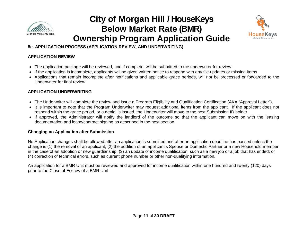



### **5e. APPLICATION PROCESS (APPLICATION REVIEW, AND UNDERWRITING)**

### **APPLICATION REVIEW**

- The application package will be reviewed, and if complete, will be submitted to the underwriter for review
- If the application is incomplete, applicants will be given written notice to respond with any file updates or missing items
- Applications that remain incomplete after notifications and applicable grace periods, will not be processed or forwarded to the Underwriter for final review

### **APPLICATION UNDERWRITING**

- The Underwriter will complete the review and issue a Program Eligibility and Qualification Certification (AKA "Approval Letter").
- It is important to note that the Program Underwriter may request additional items from the applicant. If the applicant does not respond within the grace period, or a denial is issued, the Underwriter will move to the next Submission ID holder.
- If approved, the Administrator will notify the landlord of the outcome so that the applicant can move on with the leasing documentation and lease/contract signing as described in the next section.

#### **Changing an Application after Submission**

No Application changes shall be allowed after an application is submitted and after an application deadline has passed unless the change is (1) the removal of an applicant, (2) the addition of an applicant's Spouse or Domestic Partner or a new Household member in the case of an adoption or new guardianship; (3) an update of income qualification, such as a new job or a job that has ended; or (4) correction of technical errors, such as current phone number or other non-qualifying information.

An application for a BMR Unit must be reviewed and approved for income qualification within one hundred and twenty (120) days prior to the Close of Escrow of a BMR Unit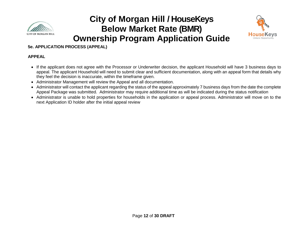



**5e. APPLICATION PROCESS (APPEAL)**

#### **APPEAL**

- If the applicant does not agree with the Processor or Underwriter decision, the applicant Household will have 3 business days to appeal. The applicant Household will need to submit clear and sufficient documentation, along with an appeal form that details why they feel the decision is inaccurate, within the timeframe given.
- Administrator Management will review the Appeal and all documentation.
- Administrator will contact the applicant regarding the status of the appeal approximately 7 business days from the date the complete Appeal Package was submitted. Administrator may require additional time as will be indicated during the status notification
- Administrator is unable to hold properties for households in the application or appeal process. Administrator will move on to the next Application ID holder after the initial appeal review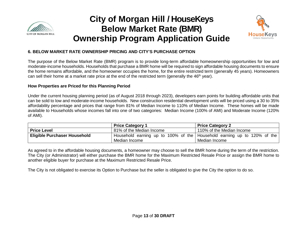



### **6. BELOW MARKET RATE OWNERSHIP PRICING AND CITY'S PURCHASE OPTION**

The purpose of the Below Market Rate (BMR) program is to provide long-term affordable homeownership opportunities for low and moderate-income households. Households that purchase a BMR home will be required to sign affordable housing documents to ensure the home remains affordable, and the homeowner occupies the home, for the entire restricted term (generally 45 years). Homeowners can sell their home at a market rate price at the end of the restricted term (generally the  $46<sup>th</sup>$  year).

#### **How Properties are Priced for this Planning Period**

Under the current housing planning period (as of August 2018 through 2023), developers earn points for building affordable units that can be sold to low and moderate-income households. New construction residential development units will be priced using a 30 to 35% affordability percentage and prices that range from 81% of Median Income to 110% of Median Income. These homes will be made available to Households whose incomes fall into one of two categories: Median Income (100% of AMI) and Moderate Income (120% of AMI).

|                                     | <b>Price Category 1</b>  | <b>Price Category 2</b>                                                 |
|-------------------------------------|--------------------------|-------------------------------------------------------------------------|
| <b>Price Level</b>                  | 81% of the Median Income | 110% of the Median Income                                               |
| <b>Eligible Purchaser Household</b> |                          | Household earning up to 100% of the Household earning up to 120% of the |
|                                     | Median Income            | Median Income                                                           |

As agreed to in the affordable housing documents, a homeowner may choose to sell the BMR home during the term of the restriction. The City (or Administrator) will either purchase the BMR home for the Maximum Restricted Resale Price or assign the BMR home to another eligible buyer for purchase at the Maximum Restricted Resale Price.

The City is not obligated to exercise its Option to Purchase but the seller is obligated to give the City the option to do so.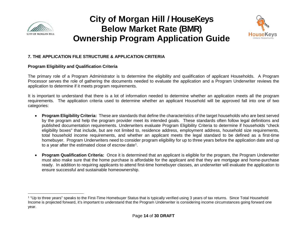

<span id="page-14-0"></span>

### **7. THE APPLICATION FILE STRUCTURE & APPLICATION CRITERIA**

#### **Program Eligibility and Qualification Criteria**

The primary role of a Program Administrator is to determine the eligibility and qualification of applicant Households. A Program Processor serves the role of gathering the documents needed to evaluate the application and a Program Underwriter reviews the application to determine if it meets program requirements.

It is important to understand that there is a lot of information needed to determine whether an application meets all the program requirements. The application criteria used to determine whether an applicant Household will be approved fall into one of two categories:

- **Program Eligibility Criteria:** These are standards that define the characteristics of the target households who are best served by the program and help the program provider meet its intended goals. These standards often follow legal definitions and published documentation requirements. Underwriters evaluate Program Eligibility Criteria to determine if households "check eligibility boxes" that include, but are not limited to, residence address, employment address, household size requirements, total household income requirements, and whether an applicant meets the legal standard to be defined as a first-time homebuyer. Program Underwriters need to consider program eligibility for up to three years before the application date and up to a year after the estimated close of escrow date<sup>[1](#page-14-0)</sup>.
- **Program Qualification Criteria:** Once it is determined that an applicant is eligible for the program, the Program Underwriter must also make sure that the home purchase is affordable for the applicant and that they are mortgage and home-purchase ready. In addition to requiring applicants to attend first-time homebuyer classes, an underwriter will evaluate the application to ensure successful and sustainable homeownership.

l <sup>1</sup> "Up to three years" speaks to the First-Time Homebuyer Status that is typically verified using 3 years of tax returns. Since Total Household Income is projected forward, it's important to understand that the Program Underwriter is considering income circumstances going forward one year.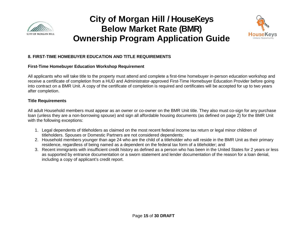



### **8. FIRST-TIME HOMEBUYER EDUCATION AND TITLE REQUIREMENTS**

#### **First-Time Homebuyer Education Workshop Requirement**

All applicants who will take title to the property must attend and complete a first-time homebuyer in-person education workshop and receive a certificate of completion from a HUD and Administrator-approved First-Time Homebuyer Education Provider before going into contract on a BMR Unit. A copy of the certificate of completion is required and certificates will be accepted for up to two years after completion.

### **Title Requirements**

All adult Household members must appear as an owner or co-owner on the BMR Unit title. They also must co-sign for any purchase loan (unless they are a non-borrowing spouse) and sign all affordable housing documents (as defined on page 2) for the BMR Unit with the following exceptions:

- 1. Legal dependents of titleholders as claimed on the most recent federal income tax return or legal minor children of titleholders. Spouses or Domestic Partners are not considered dependents;
- 2. Household members younger than age 24 who are the child of a titleholder who will reside in the BMR Unit as their primary residence, regardless of being named as a dependent on the federal tax form of a titleholder; and
- 3. Recent immigrants with insufficient credit history as defined as a person who has been in the United States for 2 years or less as supported by entrance documentation or a sworn statement and lender documentation of the reason for a loan denial, including a copy of applicant's credit report.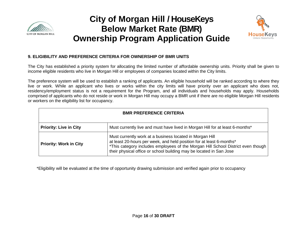



### **9. ELIGIBILITY AND PREFERENCE CRITERIA FOR OWNERSHIP OF BMR UNITS**

The City has established a priority system for allocating the limited number of affordable ownership units. Priority shall be given to income eligible residents who live in Morgan Hill or employees of companies located within the City limits.

The preference system will be used to establish a ranking of applicants. An eligible household will be ranked according to where they live or work. While an applicant who lives or works within the city limits will have priority over an applicant who does not, residency/employment status is not a requirement for the Program, and all individuals and households may apply. Households comprised of applicants who do not reside or work in Morgan Hill may occupy a BMR unit if there are no eligible Morgan Hill residents or workers on the eligibility list for occupancy.

| <b>BMR PREFERENCE CRITERIA</b> |                                                                                                                                                                                                                                                                                             |
|--------------------------------|---------------------------------------------------------------------------------------------------------------------------------------------------------------------------------------------------------------------------------------------------------------------------------------------|
| <b>Priority: Live in City</b>  | Must currently live and must have lived in Morgan Hill for at least 6-months*                                                                                                                                                                                                               |
| <b>Priority: Work in City</b>  | Must currently work at a business located in Morgan Hill<br>at least 20-hours per week, and held position for at least 6-months*<br>*This category includes employees of the Morgan Hill School District even though<br>their physical office or school building may be located in San Jose |

\*Eligibility will be evaluated at the time of opportunity drawing submission and verified again prior to occupancy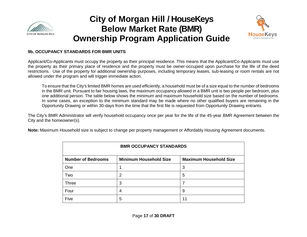



#### **9b. OCCUPANCY STANDARDS FOR BMR UNITS**

Applicant/Co-Applicants must occupy the property as their principal residence. This means that the Applicant/Co-Applicants must use the property as their primary place of residence and the property must be owner-occupied upon purchase for the life of the deed restrictions. Use of the property for additional ownership purposes, including temporary leases, sub-leasing or room rentals are not allowed under the program and will trigger immediate action.

To ensure that the City's limited BMR homes are used efficiently, a household must be of a size equal to the number of bedrooms in the BMR unit. Pursuant to fair housing laws, the maximum occupancy allowed in a BMR unit is two people per bedroom, plus one additional person. The table below shows the minimum and maximum household size based on the number of bedrooms. In some cases, an exception to the minimum standard may be made where no other qualified buyers are remaining in the Opportunity Drawing or within 30-days from the time that the first file is requested from Opportunity Drawing entrants.

The City's BMR Administrator will verify household occupancy once per year for the life of the 45-year BMR Agreement between the City and the homeowner(s).

**Note:** Maximum Household size is subject to change per property management or Affordably Housing Agreement documents.

| <b>BMR OCCUPANCY STANDARDS</b> |                               |                               |
|--------------------------------|-------------------------------|-------------------------------|
| <b>Number of Bedrooms</b>      | <b>Minimum Household Size</b> | <b>Maximum Household Size</b> |
| One                            |                               | 3                             |
| Two                            | 2                             | 5                             |
| <b>Three</b>                   | 3                             |                               |
| Four                           | 4                             | 9                             |
| Five                           | 5                             | 11                            |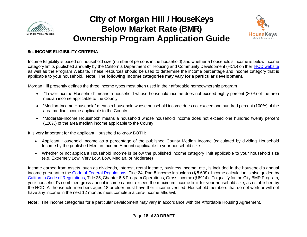



### **9c. INCOME ELIGIBILITY CRITERIA**

Income Eligibility is based on household size (number of persons in the household) and whether a household's income is below income category limits published annually by the California Department of Housing and Community Development (HCD) on their [HCD website](http://www.hcd.ca.gov/grants-funding/income-limits/state-and-federal-income-limits.shtml) as well as the Program Website. These resources should be used to determine the income percentage and income category that is applicable to your household. **Note: The following income categories may vary for a particular development.**

Morgan Hill presently defines the three income types most often used in their affordable homeownership program

- "Lower-Income Household" means a household whose household income does not exceed eighty percent (80%) of the area median income applicable to the County
- "Median-Income Household" means a household whose household income does not exceed one hundred percent (100%) of the area median income applicable to the County
- "Moderate-Income Household" means a household whose household income does not exceed one hundred twenty percent (120%) of the area median income applicable to the County

It is very important for the applicant Household to know BOTH:

- Applicant Household Income as a percentage of the published County Median Income (calculated by dividing Household Income by the published Median Income Amount) applicable to your household size
- Whether or not applicant Household Income is below the published income category limit applicable to your household size (e.g. Extremely Low, Very Low, Low, Median, or Moderate)

Income earned from assets, such as dividends, interest, rental income, business income, etc., is included in the household's annual income pursuant to the Code [of Federal Regulations,](https://www.gpo.gov/fdsys/browse/collectionCfr.action?collectionCode=CFR&searchPath=Title+24%2FSubtitle+A%2FPart+5%2FSubpart+F%2FSubjgrp&oldPath=Title+24%2FSubtitle+A%2FPart+5%2FSubpart+F&isCollapsed=true&selectedYearFrom=2017&ycord=1100) Title 24, Part 5 income inclusions (§ 5.609). Income calculation is also guided by [California Code of Regulations,](https://govt.westlaw.com/calregs/Browse/Home/California/CaliforniaCodeofRegulations?guid=IBAEBF1E0D45411DEB97CF67CD0B99467&originationContext=documenttoc&transitionType=Default&contextData=(sc.Default)) Title 25, Chapter 6.5 Program Operations, Gross Income (§ 6914). To qualify for the City BMR Program, your household's combined gross annual income cannot exceed the maximum income limit for your household size, as established by the HCD. All household members ages 18 or older must have their income verified. Household members that do not work or will not have any income in the next 12 months must complete a zero-income affidavit.

**Note:** The income categories for a particular development may vary in accordance with the Affordable Housing Agreement.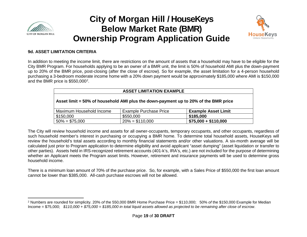

 $\overline{\phantom{a}}$ 

### **City of Morgan Hill / HouseKeys Below Market Rate (BMR) Ownership Program Application Guide**

<span id="page-19-0"></span>

### **9d. ASSET LIMITATION CRITERIA**

In addition to meeting the income limit, there are restrictions on the amount of assets that a household may have to be eligible for the City BMR Program. For households applying to be an owner of a BMR unit, the limit is 50% of household AMI plus the down-payment up to 20% of the BMR price, post-closing (after the close of escrow). So for example, the asset limitation for a 4-person household purchasing a 3-bedroom moderate income home with a 20% down payment would be approximately \$185,000 where AMI is \$150,000 and the BMR price is  $$550,000^2$  $$550,000^2$ .

| <b>ASSET LIMITATION EXAMPLE</b>                                                     |                               |                            |
|-------------------------------------------------------------------------------------|-------------------------------|----------------------------|
| Asset limit = 50% of household AMI plus the down-payment up to 20% of the BMR price |                               |                            |
| Maximum Household Income                                                            | <b>Example Purchase Price</b> | <b>Example Asset Limit</b> |
| \$150,000                                                                           | \$550,000                     | \$185,000                  |
| $50\% = $75,000$                                                                    | $20\% = $110,000$             | $$75,000 + $110,000$       |

The City will review household income and assets for all owner-occupants, temporary occupants, and other occupants, regardless of such household member's interest in purchasing or occupying a BMR home. To determine total household assets, HouseKeys will review the household's total assets according to monthly financial statements and/or other valuations. A six-month average will be calculated just prior to Program application to determine eligibility and avoid applicant "asset dumping" (asset liquidation or transfer to other parties). Assets held in IRS-recognized retirement accounts (401-k's, IRA's, etc.) are not included for the purpose of determining whether an Applicant meets the Program asset limits. However, retirement and insurance payments will be used to determine gross household income.

There is a minimum loan amount of 70% of the purchase price. So, for example, with a Sales Price of \$550,000 the first loan amount cannot be lower than \$385,000. All-cash purchase escrows will not be allowed.

<sup>2</sup> Numbers are rounded for simplicity. 20% *of* the 550,000 BMR Home Purchase Price = \$110,000; 50% *of* the \$150,000 Example for Median Income = \$75,000; *\$110,000* + *\$75,000* = *\$185,000 in total liquid assets allowed as projected to be remaining after close of escrow*.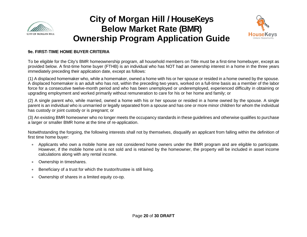



### **9e. FIRST-TIME HOME BUYER CRITERIA**

To be eligible for the City's BMR homeownership program, all household members on Title must be a first-time homebuyer, except as provided below. A first-time home buyer (FTHB) is an individual who has NOT had an ownership interest in a home in the three years immediately preceding their application date, except as follows:

(1) A displaced homemaker who, while a homemaker, owned a home with his or her spouse or resided in a home owned by the spouse. A displaced homemaker is an adult who has not, within the preceding two years, worked on a full-time basis as a member of the labor force for a consecutive twelve-month period and who has been unemployed or underemployed, experienced difficulty in obtaining or upgrading employment and worked primarily without remuneration to care for his or her home and family; or

(2) A single parent who, while married, owned a home with his or her spouse or resided in a home owned by the spouse. A single parent is an individual who is unmarried or legally separated from a spouse and has one or more minor children for whom the individual has custody or joint custody or is pregnant; or

(3) An existing BMR homeowner who no longer meets the occupancy standards in these guidelines and otherwise qualifies to purchase a larger or smaller BMR home at the time of re-application.

Notwithstanding the forgoing, the following interests shall not by themselves, disqualify an applicant from falling within the definition of first time home buyer:

- Applicants who own a mobile home are not considered home owners under the BMR program and are eligible to participate. However, if the mobile home unit is not sold and is retained by the homeowner, the property will be included in asset income calculations along with any rental income.
- Ownership in timeshares.
- Beneficiary of a trust for which the trustor/trustee is still living.
- Ownership of shares in a limited equity co-op.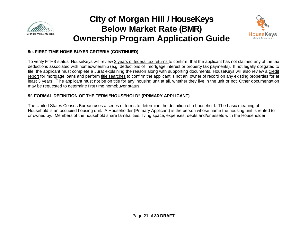



#### **9e. FIRST-TIME HOME BUYER CRITERIA (CONTINUED)**

To verify FTHB status, HouseKeys will review 3 years of federal tax returns to confirm that the applicant has not claimed any of the tax deductions associated with homeownership (e.g. deductions of mortgage interest or property tax payments). If not legally obligated to file, the applicant must complete a Jurat explaining the reason along with supporting documents. HouseKeys will also review a credit report for mortgage loans and perform title searches to confirm the applicant is not an owner of record on any existing properties for at least 3 years. T he applicant must not be on title for any housing unit at all, whether they live in the unit or not. Other documentation may be requested to determine first time homebuyer status.

### **9f. FORMAL DEFINITION OF THE TERM "HOUSEHOLD" (PRIMARY APPLICANT)**

The United States Census Bureau uses a series of terms to determine the definition of a household. The basic meaning of Household is an occupied housing unit. A Householder (Primary Applicant) is the person whose name the housing unit is rented to or owned by. Members of the household share familial ties, living space, expenses, debts and/or assets with the Householder.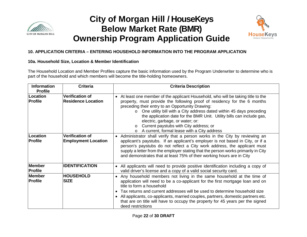



### **10. APPLICATION CRITERIA – ENTERING HOUSEHOLD INFORMATION INTO THE PROGRAM APPLICATION**

#### **10a. Household Size, Location & Member Identification**

The Household Location and Member Profiles capture the basic information used by the Program Underwriter to determine who is part of the household and which members will become the title-holding homeowners.

| <b>Information</b><br><b>Profile</b> | <b>Criteria</b>                                      | <b>Criteria Description</b>                                                                                                                                                                                                                                                                                                                                                                                                                                                                                                                  |  |
|--------------------------------------|------------------------------------------------------|----------------------------------------------------------------------------------------------------------------------------------------------------------------------------------------------------------------------------------------------------------------------------------------------------------------------------------------------------------------------------------------------------------------------------------------------------------------------------------------------------------------------------------------------|--|
| Location<br><b>Profile</b>           | <b>Verification of</b><br><b>Residence Location</b>  | At least one member of the applicant Household, who will be taking title to the<br>$\bullet$<br>property, must provide the following proof of residency for the 6 months<br>preceding their entry to an Opportunity Drawing:<br>One utility bill with a City address dated within 45 days preceding<br>$\Omega$<br>the application date for the BMR Unit. Utility bills can include gas,<br>electric, garbage, or water; or:<br>Current paystubs with City address; or<br>$\circ$<br>A current, formal lease with a City address<br>$\Omega$ |  |
| Location<br><b>Profile</b>           | <b>Verification of</b><br><b>Employment Location</b> | • Administrator shall verify that a person works in the City by reviewing an<br>applicant's paystubs. If an applicant's employer is not based in City, or if a<br>person's paystubs do not reflect a City work address, the applicant must<br>supply a letter from the employer stating that the person works primarily in City<br>and demonstrates that at least 75% of their working hours are in City                                                                                                                                     |  |
| Member<br>Profile                    | <b>IDENTIFICATION</b>                                | All applicants will need to provide positive identification including a copy of<br>valid driver's license and a copy of a valid social security card.                                                                                                                                                                                                                                                                                                                                                                                        |  |
| <b>Member</b><br>Profile             | <b>HOUSEHOLD</b><br><b>SIZE</b>                      | Any household members not living in the same household at the time of<br>application will need to be a co-applicant for the first mortgage loan and on<br>title to form a household<br>Tax returns and current addresses will be used to determine household size<br>All applicants, co-applicants, married couples, partners, domestic partners etc.<br>that are on title will have to occupy the property for 45 years per the signed<br>deed restrictions                                                                                 |  |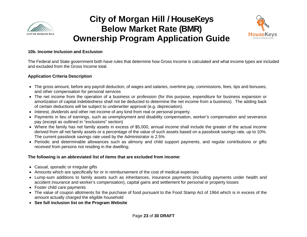



#### **10b. Income Inclusion and Exclusion**

The Federal and State government both have rules that determine how Gross Income is calculated and what income types are included and excluded from the Gross Income total.

#### **Application Criteria Description**

- The gross amount, before any payroll deduction, of wages and salaries, overtime pay, commissions, fees, tips and bonuses, and other compensation for personal services
- The net income from the operation of a business or profession (for this purpose, expenditure for business expansion or amortization of capital indebtedness shall not be deducted to determine the net income from a business). The adding back of certain deductions will be subject to underwriter approval (e.g. depreciation).
- Interest, dividends and other net income of any kind from real or personal property.
- Payments in lieu of earnings, such as unemployment and disability compensation, worker's compensation and severance pay (except as outlined in "exclusions" section)
- Where the family has net family assets in excess of \$5,000, annual income shall include the greater of the actual income derived from all net family assets or a percentage of the value of such assets based on a passbook savings rate, up to 10%. The current passbook savings rate used by the Administrator is 2.5%
- Periodic and determinable allowances such as alimony and child support payments, and regular contributions or gifts received from persons not residing in the dwelling;

#### **The following is an abbreviated list of items that are excluded from income**:

- Casual, sporadic or irregular gifts
- Amounts which are specifically for or in reimbursement of the cost of medical expenses
- Lump-sum additions to family assets such as inheritances, insurance payments (including payments under health and accident insurance and worker's compensation), capital gains and settlement for personal or property losses
- Foster child care payments
- The value of coupon allotments for the purchase of food pursuant to the Food Stamp Act of 1964 which is in excess of the amount actually charged the eligible household
- **See full inclusion list on the Program Website**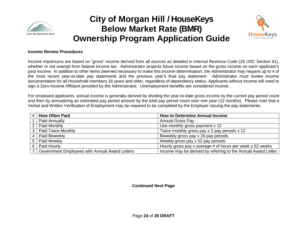



#### **Income Review Procedures**

Income maximums are based on "gross" income derived from all sources as detailed in Internal Revenue Code (26 USC Section 61), whether or not exempt from federal income tax. Administrator projects future income based on the gross income on each applicant's past income. In addition to other items deemed necessary to make this income determination, the Administrator may request up to 4 of the most recent year-to-date pay statements and the previous year's final pay statement. Administrator must review income documentation for all Household members 18 years and older, regardless of dependency status. Applicants without income will need to sign a Zero-Income Affidavit provided by the Administrator. Unemployment benefits are considered income.

For employed applicants, annual income is generally derived by dividing the year-to-date gross income by the current pay period count and then by annualizing an estimated pay period amount by the total pay period count over one year (12 months). Please note that a Verbal and Written Verification of Employment may be required to be completed by the Employer issuing the pay statements.

|                | <b>How Often Paid</b>                          | <b>How to Determine Annual Income</b>                         |
|----------------|------------------------------------------------|---------------------------------------------------------------|
|                | Paid Annually                                  | <b>Annual Gross Pay</b>                                       |
|                | Paid Monthly                                   | Use monthly gross payment x 12                                |
| 3 <sub>1</sub> | <b>Paid Twice Monthly</b>                      | Twice monthly gross pay x 2 pay periods x 12                  |
| 4 I            | Paid Biweekly                                  | Biweekly gross pay x 26 pay periods                           |
| 5              | Paid Weekly                                    | Weekly gross pay x 52 pay periods                             |
| 6              | Paid Hourly                                    | Hourly gross pay x average # of hours per week x 52 weeks     |
|                | Government Employees with Annual Award Letters | Income may be derived by referring to the Annual Award Letter |

**Continued Next Page**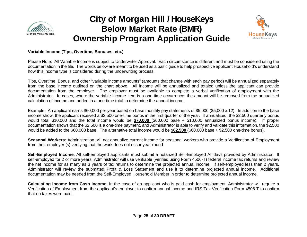



#### **Variable Income (Tips, Overtime, Bonuses, etc.)**

Please Note: All Variable Income is subject to Underwriter Approval. Each circumstance is different and must be considered using the documentation in the file. The words below are meant to be used as a basic guide to help prospective applicant Household's understand how this income type is considered during the underwriting process.

Tips, Overtime, Bonus, and other "variable income amounts" (amounts that change with each pay period) will be annualized separately from the base income outlined on the chart above. All income will be annualized and totaled unless the applicant can provide documentation from the employer. The employer must be available to complete a verbal verification of employment with the Administrator. In cases, where the variable income item is a one-time occurrence, the amount will be removed from the annualized calculation of income and added in a one-time total to determine the annual income.

Example: An applicant earns \$60,000 per year based on base monthly pay statements of \$5,000 (\$5,000 x 12). In addition to the base income show, the applicant received a \$2,500 one-time bonus in the first quarter of the year. If annualized, the \$2,500 quarterly bonus would total \$10,000 and the total income would be **\$70,000** (\$60,000 base + \$10,000 annualized bonus income). If proper documentation shows that the \$2,500 is a one-time payment, and Administrator is able to verify and validate this information, the \$2,500 would be added to the \$60,000 base. The alternative total income would be **\$62,500** (\$60,000 base + \$2,500 one-time bonus).

**Seasonal Workers**: Administration will not annualize current income for seasonal workers who provide a Verification of Employment from their employer (s) verifying that the work does not occur year-round

**Self-Employed Income**: All self-employed applicants must submit a notarized Self-Employed Affidavit provided by Administrator. If self-employed for 2 or more years, Administrator will use verifiable (verified using Form 4506-T) federal income tax returns and review the net income for as many as 3 years of tax returns to determine the projected annual income. If self-employed less than 2 years, Administrator will review the submitted Profit & Loss Statement and use it to determine projected annual income. Additional documentation may be needed from the Self-Employed Household Member in order to determine projected annual income.

**Calculating Income from Cash Income**: In the case of an applicant who is paid cash for employment, Administrator will require a Verification of Employment from the applicant's employer to confirm annual income and IRS Tax Verification Form 4506-T to confirm that no taxes were paid.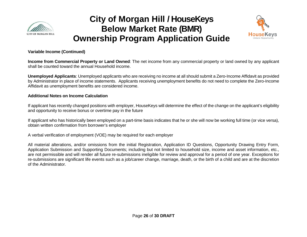



#### **Variable Income (Continued)**

**Income from Commercial Property or Land Owned**: The net income from any commercial property or land owned by any applicant shall be counted toward the annual Household income.

**Unemployed Applicants**: Unemployed applicants who are receiving no income at all should submit a Zero-Income Affidavit as provided by Administrator in place of income statements. Applicants receiving unemployment benefits do not need to complete the Zero-Income Affidavit as unemployment benefits are considered income.

#### **Additional Notes on Income Calculation**

If applicant has recently changed positions with employer, HouseKeys will determine the effect of the change on the applicant's eligibility and opportunity to receive bonus or overtime pay in the future

If applicant who has historically been employed on a part-time basis indicates that he or she will now be working full time (or vice versa), obtain written confirmation from borrower's employer

A verbal verification of employment (VOE) may be required for each employer

All material alterations, and/or omissions from the initial Registration, Application ID Questions, Opportunity Drawing Entry Form, Application Submission and Supporting Documents; including but not limited to household size, income and asset information, etc., are not permissible and will render all future re-submissions ineligible for review and approval for a period of one year. Exceptions for re-submissions are significant life events such as a job/career change, marriage, death, or the birth of a child and are at the discretion of the Administrator.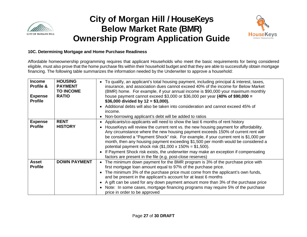



#### **10C. Determining Mortgage and Home Purchase Readiness**

Affordable homeownership programming requires that applicant Households who meet the basic requirements for being considered eligible, must also prove that the home purchase fits within their household budget and that they are able to successfully obtain mortgage financing. The following table summarizes the information needed by the Underwriter to approve a household:

| <b>Income</b><br>Profile &<br><b>Expense</b><br><b>Profile</b> | <b>HOUSING</b><br><b>PAYMENT</b><br><b>TO INCOME</b><br><b>RATIO</b> | • To qualify, an applicant's total housing payment, including principal & interest, taxes,<br>insurance, and association dues cannot exceed 40% of the income for Below Market<br>(BMR) home. For example, if your annual income is \$90,000 your maximum monthly<br>house payment cannot exceed \$3,000 or \$36,000 per year (40% of \$90,000 =<br>\$36,000 divided by $12 = $3,000$ ).<br>Additional debts will also be taken into consideration and cannot exceed 45% of<br>income.<br>Non-borrowing applicant's debt will be added to ratios<br>$\bullet$                                                                                                                                |
|----------------------------------------------------------------|----------------------------------------------------------------------|----------------------------------------------------------------------------------------------------------------------------------------------------------------------------------------------------------------------------------------------------------------------------------------------------------------------------------------------------------------------------------------------------------------------------------------------------------------------------------------------------------------------------------------------------------------------------------------------------------------------------------------------------------------------------------------------|
| <b>Expense</b><br><b>Profile</b>                               | <b>RENT</b><br><b>HISTORY</b>                                        | Applicants/co-applicants will need to show the last 6 months of rent history<br>$\bullet$<br>HouseKeys will review the current rent vs. the new housing payment for affordability.<br>Any circumstance where the new housing payment exceeds 150% of current rent will<br>be considered a "Payment Shock" risk. For example, if your current rent is \$1,000 per<br>month, then any housing payment exceeding \$1,500 per month would be considered a<br>potential payment shock risk $(\$1,000 \times 150\% = \$1,500)$ .<br>If Payment Shock risk exists, the underwriter may make an exception if compensating<br>$\bullet$<br>factors are present in the file (e.g. post-close reserves) |
| <b>Asset</b><br><b>Profile</b>                                 | <b>DOWN PAYMENT</b>                                                  | The minimum down payment for the BMR program is 3% of the purchase price with<br>$\bullet$<br>first mortgage loan amount equal to 97% of the purchase price.<br>The minimum 3% of the purchase price must come from the applicant's own funds,<br>$\bullet$<br>and be present in the applicant's account for at least 6 months<br>A gift can be used for any down payment amount more than 3% of the purchase price<br>$\bullet$<br>Note: In some cases, mortgage financing programs may require 5% of the purchase<br>$\bullet$<br>price in order to be approved                                                                                                                            |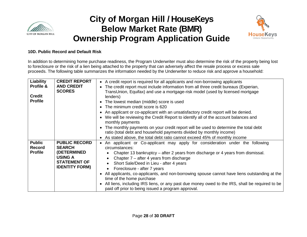



#### **10D. Public Record and Default Risk**

In addition to determining home purchase readiness, the Program Underwriter must also determine the risk of the property being lost to foreclosure or the risk of a lien being attached to the property that can adversely affect the resale process or excess sale proceeds. The following table summarizes the information needed by the Underwriter to reduce risk and approve a household:

| Liability<br>Profile &<br><b>Credit</b><br><b>Profile</b> | <b>CREDIT REPORT</b><br><b>AND CREDIT</b><br><b>SCORES</b>                                                                    | • A credit report is required for all applicants and non-borrowing applicants<br>The credit report must include information from all three credit bureaus (Experian,<br>$\bullet$<br>TransUnion, Equifax) and use a mortgage-risk model (used by licensed mortgage<br>lenders)<br>The lowest median (middle) score is used<br>٠<br>The minimum credit score is 620<br>An applicant or co-applicant with an unsatisfactory credit report will be denied.<br>We will be reviewing the Credit Report to identify all of the account balances and<br>monthly payments<br>The monthly payments on your credit report will be used to determine the total debt                                              |
|-----------------------------------------------------------|-------------------------------------------------------------------------------------------------------------------------------|-------------------------------------------------------------------------------------------------------------------------------------------------------------------------------------------------------------------------------------------------------------------------------------------------------------------------------------------------------------------------------------------------------------------------------------------------------------------------------------------------------------------------------------------------------------------------------------------------------------------------------------------------------------------------------------------------------|
|                                                           |                                                                                                                               | ratio (total debt and household payments divided by monthly income)                                                                                                                                                                                                                                                                                                                                                                                                                                                                                                                                                                                                                                   |
| <b>Public</b><br><b>Record</b><br><b>Profile</b>          | <b>PUBLIC RECORD</b><br><b>SEARCH</b><br><b>(DETERMINED</b><br><b>USING A</b><br><b>STATEMENT OF</b><br><b>IDENTITY FORM)</b> | As stated above, the total debt ratio cannot exceed 45% of monthly income<br>An applicant or Co-applicant may apply for consideration under the following<br>$\bullet$<br>circumstances:<br>Chapter 13 bankruptcy – after 2 years from discharge or 4 years from dismissal.<br>Chapter $7$ – after 4 years from discharge<br>$\bullet$<br>Short Sale/Deed in Lieu - after 4 years<br>Foreclosure - after 7 years<br>All applicants, co-applicants, and non-borrowing spouse cannot have liens outstanding at the<br>time of the home purchase<br>All liens, including IRS liens, or any past due money owed to the IRS, shall be required to be<br>paid off prior to being issued a program approval. |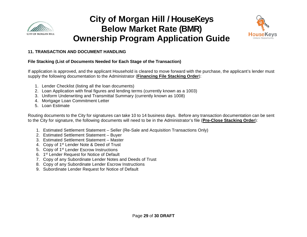



#### **11. TRANSACTION AND DOCUMENT HANDLING**

#### **File Stacking (List of Documents Needed for Each Stage of the Transaction)**

If application is approved, and the applicant Household is cleared to move forward with the purchase, the applicant's lender must supply the following documentation to the Administrator (**Financing File Stacking Order**):

- 1. Lender Checklist (listing all the loan documents)
- 2. Loan Application with final figures and lending terms (currently known as a 1003)
- 3. Uniform Underwriting and Transmittal Summary (currently known as 1008)
- 4. Mortgage Loan Commitment Letter
- 5. Loan Estimate

Routing documents to the City for signatures can take 10 to 14 business days. Before any transaction documentation can be sent to the City for signature, the following documents will need to be in the Administrator's file (**Pre-Close Stacking Order**):

- 1. Estimated Settlement Statement Seller (Re-Sale and Acquisition Transactions Only)
- 2. Estimated Settlement Statement Buyer
- 3. Estimated Settlement Statement Master
- 4. Copy of 1<sup>st</sup> Lender Note & Deed of Trust
- 5. Copy of 1<sup>st</sup> Lender Escrow Instructions
- 6. 1st Lender Request for Notice of Default
- 7. Copy of any Subordinate Lender Notes and Deeds of Trust
- 8. Copy of any Subordinate Lender Escrow Instructions
- 9. Subordinate Lender Request for Notice of Default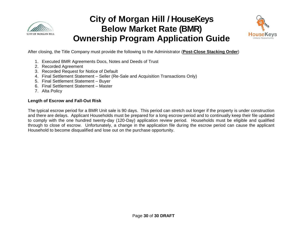



After closing, the Title Company must provide the following to the Administrator (**Post-Close Stacking Order**)

- 1. Executed BMR Agreements Docs, Notes and Deeds of Trust
- 2. Recorded Agreement
- 3. Recorded Request for Notice of Default
- 4. Final Settlement Statement Seller (Re-Sale and Acquisition Transactions Only)
- 5. Final Settlement Statement Buyer
- 6. Final Settlement Statement Master
- 7. Alta Policy

#### **Length of Escrow and Fall-Out Risk**

The typical escrow period for a BMR Unit sale is 90 days. This period can stretch out longer if the property is under construction and there are delays. Applicant Households must be prepared for a long escrow period and to continually keep their file updated to comply with the one hundred twenty-day (120-Day) application review period. Households must be eligible and qualified through to close of escrow. Unfortunately, a change in the application file during the escrow period can cause the applicant Household to become disqualified and lose out on the purchase opportunity.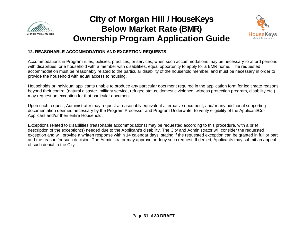



### **12. REASONABLE ACCOMMODATION AND EXCEPTION REQUESTS**

Accommodations in Program rules, policies, practices, or services, when such accommodations may be necessary to afford persons with disabilities, or a household with a member with disabilities, equal opportunity to apply for a BMR home. The requested accommodation must be reasonably related to the particular disability of the household member, and must be necessary in order to provide the household with equal access to housing.

Households or individual applicants unable to produce any particular document required in the application form for legitimate reasons beyond their control (natural disaster, military service, refugee status, domestic violence, witness protection program, disability etc.) may request an exception for that particular document.

Upon such request, Administrator may request a reasonably equivalent alternative document, and/or any additional supporting documentation deemed necessary by the Program Processor and Program Underwriter to verify eligibility of the Applicant/Co-Applicant and/or their entire Household.

Exceptions related to disabilities (reasonable accommodations) may be requested according to this procedure, with a brief description of the exception(s) needed due to the Applicant's disability. The City and Administrator will consider the requested exception and will provide a written response within 14 calendar days, stating if the requested exception can be granted in full or part and the reason for such decision. The Administrator may approve or deny such request. If denied, Applicants may submit an appeal of such denial to the City.